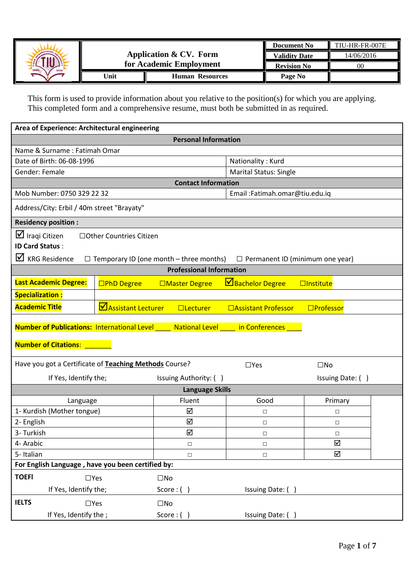

This form is used to provide information about you relative to the position(s) for which you are applying. This completed form and a comprehensive resume, must both be submitted in as required.

| Area of Experience: Architectural engineering                                                                                                                                                           |                    |                                 |                                |                  |  |
|---------------------------------------------------------------------------------------------------------------------------------------------------------------------------------------------------------|--------------------|---------------------------------|--------------------------------|------------------|--|
|                                                                                                                                                                                                         |                    | <b>Personal Information</b>     |                                |                  |  |
| Name & Surname: Fatimah Omar                                                                                                                                                                            |                    |                                 |                                |                  |  |
| Date of Birth: 06-08-1996                                                                                                                                                                               |                    |                                 | Nationality: Kurd              |                  |  |
| Gender: Female                                                                                                                                                                                          |                    |                                 | <b>Marital Status: Single</b>  |                  |  |
|                                                                                                                                                                                                         |                    | <b>Contact Information</b>      |                                |                  |  |
| Mob Number: 0750 329 22 32                                                                                                                                                                              |                    |                                 | Email: Fatimah.omar@tiu.edu.iq |                  |  |
| Address/City: Erbil / 40m street "Brayaty"                                                                                                                                                              |                    |                                 |                                |                  |  |
| <b>Residency position:</b>                                                                                                                                                                              |                    |                                 |                                |                  |  |
| $\Box$ Iraqi Citizen<br>□ Other Countries Citizen<br><b>ID Card Status:</b><br>$\mathbf{\nabla}$ KRG Residence<br>$\Box$ Temporary ID (one month – three months) $\Box$ Permanent ID (minimum one year) |                    |                                 |                                |                  |  |
|                                                                                                                                                                                                         |                    | <b>Professional Information</b> |                                |                  |  |
| <b>Last Academic Degree:</b>                                                                                                                                                                            | □PhD Degree        | □Master Degree                  | Bachelor Degree                | $\Box$ Institute |  |
| <b>Specialization:</b>                                                                                                                                                                                  |                    |                                 |                                |                  |  |
| <b>Academic Title</b>                                                                                                                                                                                   | Assistant Lecturer | $\Box$ Lecturer                 | □Assistant Professor           | $\Box$ Professor |  |
| <b>Number of Publications: International Level</b>                                                                                                                                                      |                    | National Level                  | in Conferences                 |                  |  |
| <b>Number of Citations:</b>                                                                                                                                                                             |                    |                                 |                                |                  |  |
| Have you got a Certificate of Teaching Methods Course?                                                                                                                                                  |                    |                                 | $\Box$ Yes                     | $\square$ No     |  |
| If Yes, Identify the;                                                                                                                                                                                   |                    | Issuing Authority: ()           |                                | Issuing Date: () |  |
|                                                                                                                                                                                                         |                    | <b>Language Skills</b>          |                                |                  |  |
| Language                                                                                                                                                                                                |                    | Fluent                          | Good                           | Primary          |  |
| 1- Kurdish (Mother tongue)                                                                                                                                                                              |                    | ☑                               | □                              | $\Box$           |  |
| 2- English                                                                                                                                                                                              |                    | ☑                               | $\Box$                         | $\Box$           |  |
| 3- Turkish                                                                                                                                                                                              |                    | ☑                               | □                              | □                |  |
| 4- Arabic                                                                                                                                                                                               |                    | $\Box$                          | $\Box$                         | ☑                |  |
| 5-Italian                                                                                                                                                                                               |                    | $\Box$                          | $\Box$                         | ☑                |  |
| For English Language, have you been certified by:                                                                                                                                                       |                    |                                 |                                |                  |  |
| <b>TOEFI</b><br>$\Box$ Yes                                                                                                                                                                              |                    | $\square$ No                    |                                |                  |  |
| If Yes, Identify the;                                                                                                                                                                                   |                    | Score: $()$                     | Issuing Date: ()               |                  |  |
| <b>IELTS</b><br>$\Box$ Yes                                                                                                                                                                              |                    | $\square$ No                    |                                |                  |  |
| If Yes, Identify the;                                                                                                                                                                                   |                    | Score: $()$                     | Issuing Date: ()               |                  |  |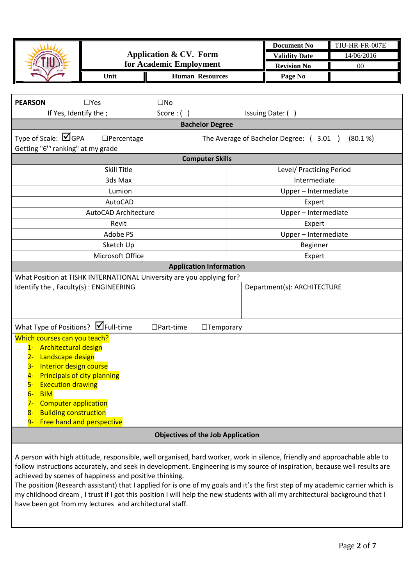|                                                                            |                      |                                                                                                                                 |                      | <b>Document No</b>                     | TIU-HR-FR-007E |
|----------------------------------------------------------------------------|----------------------|---------------------------------------------------------------------------------------------------------------------------------|----------------------|----------------------------------------|----------------|
|                                                                            |                      | <b>Application &amp; CV. Form</b>                                                                                               |                      | <b>Validity Date</b>                   | 14/06/2016     |
|                                                                            |                      | for Academic Employment                                                                                                         |                      | <b>Revision No</b>                     | $00\,$         |
|                                                                            | Unit                 | <b>Human Resources</b>                                                                                                          |                      | Page No                                |                |
|                                                                            |                      |                                                                                                                                 |                      |                                        |                |
|                                                                            |                      |                                                                                                                                 |                      |                                        |                |
| <b>PEARSON</b>                                                             | $\Box$ Yes           | $\square$ No                                                                                                                    |                      |                                        |                |
| If Yes, Identify the;                                                      |                      | Score:()                                                                                                                        |                      | Issuing Date: ()                       |                |
|                                                                            |                      | <b>Bachelor Degree</b>                                                                                                          |                      |                                        |                |
| Type of Scale: $\Box$ GPA<br>Getting "6 <sup>th</sup> ranking" at my grade | $\Box$ Percentage    |                                                                                                                                 |                      | The Average of Bachelor Degree: (3.01) | (80.1%         |
|                                                                            |                      | <b>Computer Skills</b>                                                                                                          |                      |                                        |                |
|                                                                            | <b>Skill Title</b>   |                                                                                                                                 |                      | Level/ Practicing Period               |                |
|                                                                            | 3ds Max              |                                                                                                                                 |                      | Intermediate                           |                |
|                                                                            | Lumion               |                                                                                                                                 |                      | Upper - Intermediate                   |                |
|                                                                            | AutoCAD              |                                                                                                                                 |                      | Expert                                 |                |
|                                                                            | AutoCAD Architecture |                                                                                                                                 |                      | Upper - Intermediate                   |                |
| Revit                                                                      |                      | Expert                                                                                                                          |                      |                                        |                |
| Adobe PS                                                                   |                      |                                                                                                                                 | Upper - Intermediate |                                        |                |
| Sketch Up                                                                  |                      | Beginner                                                                                                                        |                      |                                        |                |
|                                                                            | Microsoft Office     |                                                                                                                                 | Expert               |                                        |                |
|                                                                            |                      | <b>Application Information</b>                                                                                                  |                      |                                        |                |
|                                                                            |                      | What Position at TISHK INTERNATIONAL University are you applying for?                                                           |                      |                                        |                |
| Identify the, Faculty(s): ENGINEERING                                      |                      |                                                                                                                                 |                      | Department(s): ARCHITECTURE            |                |
|                                                                            |                      |                                                                                                                                 |                      |                                        |                |
|                                                                            |                      |                                                                                                                                 |                      |                                        |                |
|                                                                            |                      |                                                                                                                                 |                      |                                        |                |
| What Type of Positions? Ø Full-time                                        |                      | $\Box$ Part-time<br>$\Box$ Temporary                                                                                            |                      |                                        |                |
| Which courses can you teach?                                               |                      |                                                                                                                                 |                      |                                        |                |
| 1- Architectural design                                                    |                      |                                                                                                                                 |                      |                                        |                |
| Landscape design<br>$2 -$<br>Interior design course<br>$3-$                |                      |                                                                                                                                 |                      |                                        |                |
| <b>Principals of city planning</b><br>4-                                   |                      |                                                                                                                                 |                      |                                        |                |
| <b>Execution drawing</b><br>$5-$                                           |                      |                                                                                                                                 |                      |                                        |                |
| <b>BIM</b><br>$6-$                                                         |                      |                                                                                                                                 |                      |                                        |                |
| <b>Computer application</b><br>7-                                          |                      |                                                                                                                                 |                      |                                        |                |
| <b>Building construction</b><br>8-                                         |                      |                                                                                                                                 |                      |                                        |                |
| 9- Free hand and perspective                                               |                      |                                                                                                                                 |                      |                                        |                |
|                                                                            |                      | <b>Objectives of the Job Application</b>                                                                                        |                      |                                        |                |
|                                                                            |                      |                                                                                                                                 |                      |                                        |                |
|                                                                            |                      | A person with high attitude, responsible, well organised, hard worker, work in silence, friendly and approachable able to       |                      |                                        |                |
|                                                                            |                      | follow instructions accurately, and seek in development. Engineering is my source of inspiration, because well results are      |                      |                                        |                |
| achieved by scenes of happiness and positive thinking.                     |                      |                                                                                                                                 |                      |                                        |                |
|                                                                            |                      | The position (Research assistant) that I applied for is one of my goals and it's the first step of my academic carrier which is |                      |                                        |                |

my childhood dream , I trust if I got this position I will help the new students with all my architectural background that I have been got from my lectures and architectural staff.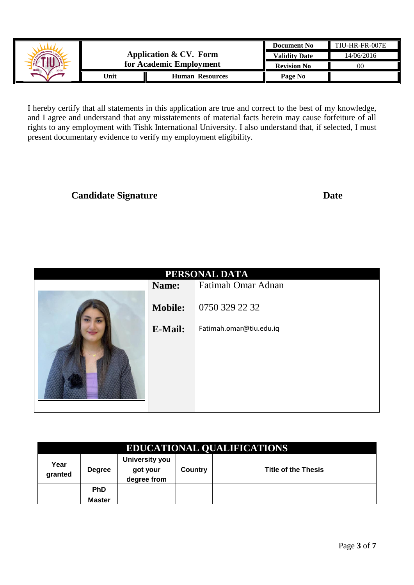|               |       |                         | <b>Document No</b>   | TIU-HR-FR-007E |
|---------------|-------|-------------------------|----------------------|----------------|
| ARTIONA       |       | Application & CV. Form  | <b>Validity Date</b> | 14/06/2016     |
| ERBII<br>2008 |       | for Academic Employment | <b>Revision No</b>   | $00\,$         |
|               | 'Jnit | <b>Human Resources</b>  | Page No              |                |

I hereby certify that all statements in this application are true and correct to the best of my knowledge, and I agree and understand that any misstatements of material facts herein may cause forfeiture of all rights to any employment with Tishk International University. I also understand that, if selected, I must present documentary evidence to verify my employment eligibility.

## **Candidate Signature Date**

| PERSONAL DATA |                |                         |  |  |  |
|---------------|----------------|-------------------------|--|--|--|
|               | Name:          | Fatimah Omar Adnan      |  |  |  |
|               | <b>Mobile:</b> | 0750 329 22 32          |  |  |  |
|               | <b>E-Mail:</b> | Fatimah.omar@tiu.edu.iq |  |  |  |
|               |                |                         |  |  |  |

|                 | <b>EDUCATIONAL QUALIFICATIONS</b> |                                                  |         |                            |  |  |
|-----------------|-----------------------------------|--------------------------------------------------|---------|----------------------------|--|--|
| Year<br>granted | <b>Degree</b>                     | <b>University you</b><br>got your<br>degree from | Country | <b>Title of the Thesis</b> |  |  |
|                 | <b>PhD</b>                        |                                                  |         |                            |  |  |
|                 | Master                            |                                                  |         |                            |  |  |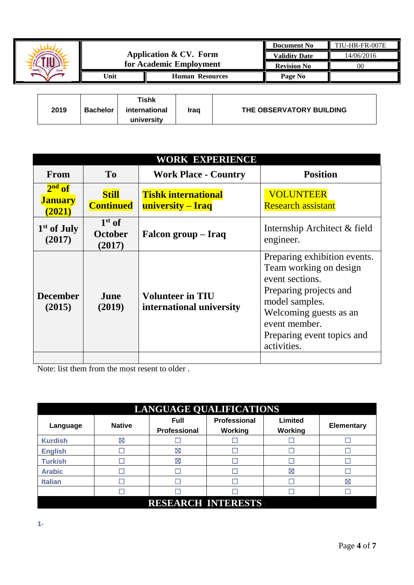|         |      |                         | <b>Document No</b>   | TIU-HR-FR-007E |
|---------|------|-------------------------|----------------------|----------------|
| ATIONAL |      | Application & CV. Form  | <b>Validity Date</b> | 14/06/2016     |
| ERBIL   |      | for Academic Employment |                      | 00             |
|         | Unit | <b>Human Resources</b>  | Page No              |                |
|         |      |                         |                      |                |

| 2019 | <b>Bachelor</b> | Tishk<br>international | Iraq | THE OBSERVATORY BUILDING |
|------|-----------------|------------------------|------|--------------------------|
|      |                 | university             |      |                          |

|                                      | WORK EXPERIENCE                      |                                                     |                                                                                                                                                                                                               |  |  |
|--------------------------------------|--------------------------------------|-----------------------------------------------------|---------------------------------------------------------------------------------------------------------------------------------------------------------------------------------------------------------------|--|--|
| From                                 | T <sub>0</sub>                       | <b>Work Place - Country</b>                         | <b>Position</b>                                                                                                                                                                                               |  |  |
| $2nd$ of<br><b>January</b><br>(2021) | <b>Still</b><br><b>Continued</b>     | <b>Tishk international</b><br>university – Iraq     | <b>VOLUNTEER</b><br><b>Research assistant</b>                                                                                                                                                                 |  |  |
| $1st$ of July<br>(2017)              | $1st$ of<br><b>October</b><br>(2017) | Falcon group – Iraq                                 | Internship Architect & field<br>engineer.                                                                                                                                                                     |  |  |
| <b>December</b><br>(2015)            | June<br>(2019)                       | <b>Volunteer in TIU</b><br>international university | Preparing exhibition events.<br>Team working on design<br>event sections.<br>Preparing projects and<br>model samples.<br>Welcoming guests as an<br>event member.<br>Preparing event topics and<br>activities. |  |  |
|                                      |                                      |                                                     |                                                                                                                                                                                                               |  |  |

Note: list them from the most resent to older .

| <b>LANGUAGE QUALIFICATIONS</b> |               |                                    |                         |                    |                   |  |  |
|--------------------------------|---------------|------------------------------------|-------------------------|--------------------|-------------------|--|--|
| Language                       | <b>Native</b> | <b>Full</b><br><b>Professional</b> | Professional<br>Working | Limited<br>Working | <b>Elementary</b> |  |  |
| <b>Kurdish</b>                 | ⊠             |                                    |                         |                    |                   |  |  |
| <b>English</b>                 |               | ⊠                                  |                         |                    |                   |  |  |
| <b>Turkish</b>                 |               | ⊠                                  |                         |                    |                   |  |  |
| <b>Arabic</b>                  |               |                                    |                         | ⊠                  |                   |  |  |
| <b>Italian</b>                 |               |                                    |                         |                    | ⊠                 |  |  |
|                                |               |                                    |                         |                    |                   |  |  |
|                                |               | <b>RESEARCH INTERESTS</b>          |                         |                    |                   |  |  |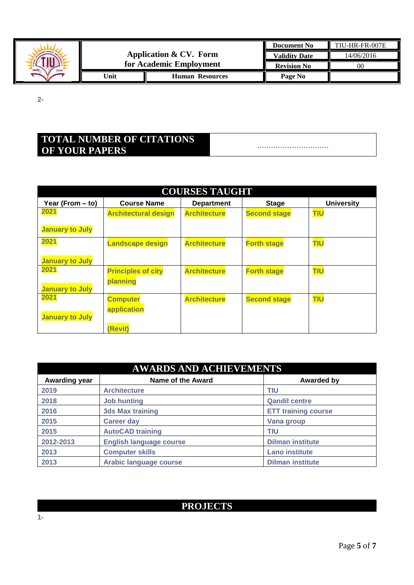

**2-**

# **TOTAL NUMBER OF CITATIONS OF YOUR PAPERS ………………………….**

|                        | <b>COURSES TAUGHT</b>       |                     |                     |                   |  |  |  |
|------------------------|-----------------------------|---------------------|---------------------|-------------------|--|--|--|
| Year (From - to)       | <b>Course Name</b>          | <b>Department</b>   | <b>Stage</b>        | <b>University</b> |  |  |  |
| 2021                   | <b>Architectural design</b> | <b>Architecture</b> | <b>Second stage</b> | <b>TIU</b>        |  |  |  |
| <b>January to July</b> |                             |                     |                     |                   |  |  |  |
| 2021                   | <b>Landscape design</b>     | <b>Architecture</b> | <b>Forth stage</b>  | <b>TIU</b>        |  |  |  |
| <b>January to July</b> |                             |                     |                     |                   |  |  |  |
| 2021                   | <b>Principles of city</b>   | <b>Architecture</b> | <b>Forth stage</b>  | <b>TIU</b>        |  |  |  |
| <b>January to July</b> | planning                    |                     |                     |                   |  |  |  |
| 2021                   | <b>Computer</b>             | <b>Architecture</b> | <b>Second stage</b> | <b>TIU</b>        |  |  |  |
| <b>January to July</b> | application                 |                     |                     |                   |  |  |  |
|                        | (Revit)                     |                     |                     |                   |  |  |  |

| <b>AWARDS AND ACHIEVEMENTS</b> |                                |                            |  |  |
|--------------------------------|--------------------------------|----------------------------|--|--|
| Awarding year                  | <b>Name of the Award</b>       | <b>Awarded by</b>          |  |  |
| 2019                           | <b>Architecture</b>            | <b>TIU</b>                 |  |  |
| 2018                           | <b>Job hunting</b>             | <b>Qandil centre</b>       |  |  |
| 2016                           | <b>3ds Max training</b>        | <b>ETT training course</b> |  |  |
| 2015                           | <b>Career day</b>              | Vana group                 |  |  |
| 2015                           | <b>AutoCAD training</b>        | TIU                        |  |  |
| 2012-2013                      | <b>English language course</b> | <b>Dilman institute</b>    |  |  |
| 2013                           | <b>Computer skills</b>         | <b>Lano institute</b>      |  |  |
| 2013                           | <b>Arabic language course</b>  | <b>Dilman institute</b>    |  |  |

## **PROJECTS**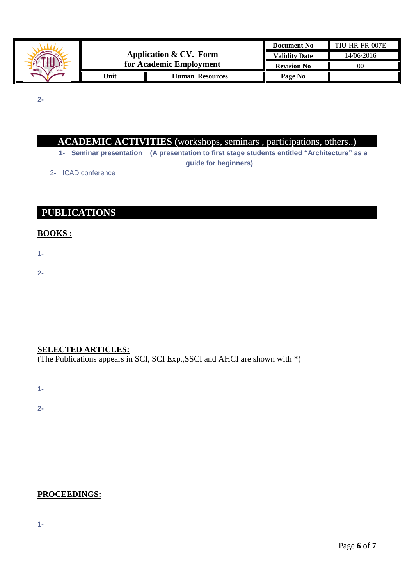

**2-**

| <b>ACADEMIC ACTIVITIES</b> (workshops, seminars, participations, others) |  |  |
|--------------------------------------------------------------------------|--|--|
|                                                                          |  |  |

- **1- Seminar presentation (A presentation to first stage students entitled "Architecture" as a guide for beginners)**
- 2- ICAD conference

## **PUBLICATIONS**

#### **BOOKS :**

**1-**

**2-**

### **SELECTED ARTICLES:**

(The Publications appears in SCI, SCI Exp.,SSCI and AHCI are shown with \*)

**1-**

**2-**

### **PROCEEDINGS:**

**1-**